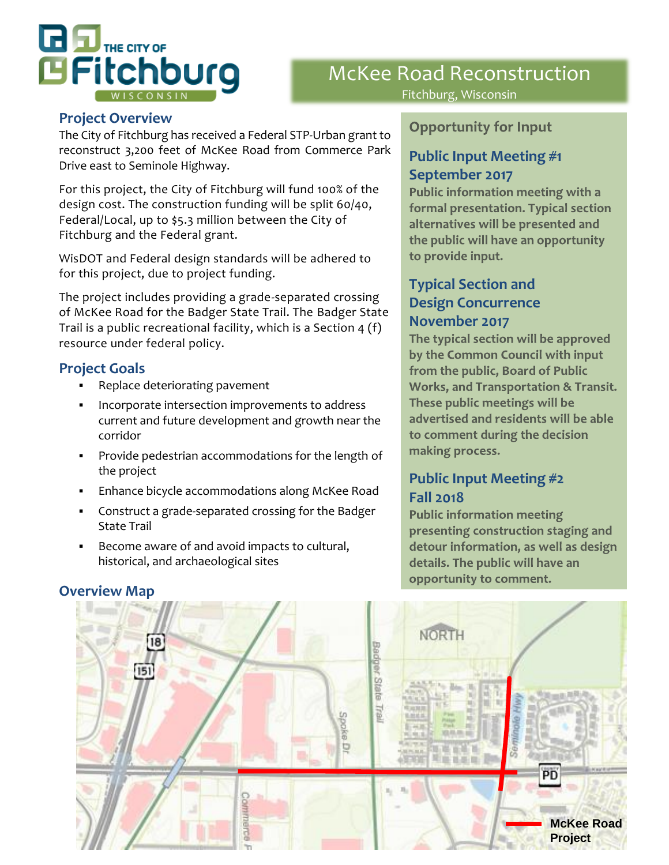

# McKee Road Reconstruction Fitchburg, Wisconsin

#### **Project Overview**

The City of Fitchburg has received a Federal STP-Urban grant to reconstruct 3,200 feet of McKee Road from Commerce Park Drive east to Seminole Highway.

For this project, the City of Fitchburg will fund 100% of the design cost. The construction funding will be split 60/40, Federal/Local, up to \$5.3 million between the City of Fitchburg and the Federal grant.

WisDOT and Federal design standards will be adhered to for this project, due to project funding.

The project includes providing a grade-separated crossing of McKee Road for the Badger State Trail. The Badger State Trail is a public recreational facility, which is a Section 4 (f) resource under federal policy.

#### **Project Goals**

- Replace deteriorating pavement
- Incorporate intersection improvements to address current and future development and growth near the corridor
- Provide pedestrian accommodations for the length of the project
- **Enhance bicycle accommodations along McKee Road**
- Construct a grade-separated crossing for the Badger State Trail
- Become aware of and avoid impacts to cultural, historical, and archaeological sites

#### **Opportunity for Input**

#### **Public Input Meeting #1 September 2017**

Public information meeting with a formal presentation. Typical section alternatives will be presented and the public will have an opportunity to provide input.

#### **Typical Section and Design Concurrence November 2017**

The typical section will be approved by the Common Council with input from the public, Board of Public **Works, and Transportation & Transit.** These public meetings will be advertised and residents will be able to comment during the decision making process.

### **Public Input Meeting #2 Fall 2018**

**Public information meeting** presenting construction staging and detour information, as well as design details. The public will have an opportunity to comment.



#### **Overview Map**